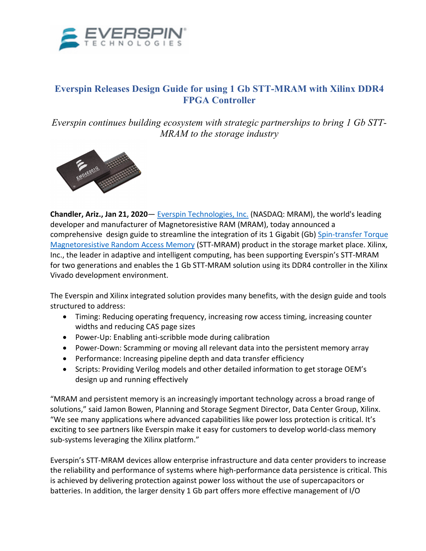

## **Everspin Releases Design Guide for using 1 Gb STT-MRAM with Xilinx DDR4 FPGA Controller**

*Everspin continues building ecosystem with strategic partnerships to bring 1 Gb STT-MRAM to the storage industry*



**Chandler, Ariz., Jan 21, 2020**— Everspin Technologies, Inc. (NASDAQ: MRAM), the world's leading developer and manufacturer of Magnetoresistive RAM (MRAM), today announced a comprehensive design guide to streamline the integration of its 1 Gigabit (Gb) Spin-transfer Torque Magnetoresistive Random Access Memory (STT-MRAM) product in the storage market place. Xilinx, Inc., the leader in adaptive and intelligent computing, has been supporting Everspin's STT-MRAM for two generations and enables the 1 Gb STT-MRAM solution using its DDR4 controller in the Xilinx Vivado development environment.

The Everspin and Xilinx integrated solution provides many benefits, with the design guide and tools structured to address:

- Timing: Reducing operating frequency, increasing row access timing, increasing counter widths and reducing CAS page sizes
- Power-Up: Enabling anti-scribble mode during calibration
- Power-Down: Scramming or moving all relevant data into the persistent memory array
- Performance: Increasing pipeline depth and data transfer efficiency
- Scripts: Providing Verilog models and other detailed information to get storage OEM's design up and running effectively

"MRAM and persistent memory is an increasingly important technology across a broad range of solutions," said Jamon Bowen, Planning and Storage Segment Director, Data Center Group, Xilinx. "We see many applications where advanced capabilities like power loss protection is critical. It's exciting to see partners like Everspin make it easy for customers to develop world-class memory sub-systems leveraging the Xilinx platform."

Everspin's STT-MRAM devices allow enterprise infrastructure and data center providers to increase the reliability and performance of systems where high-performance data persistence is critical. This is achieved by delivering protection against power loss without the use of supercapacitors or batteries. In addition, the larger density 1 Gb part offers more effective management of I/O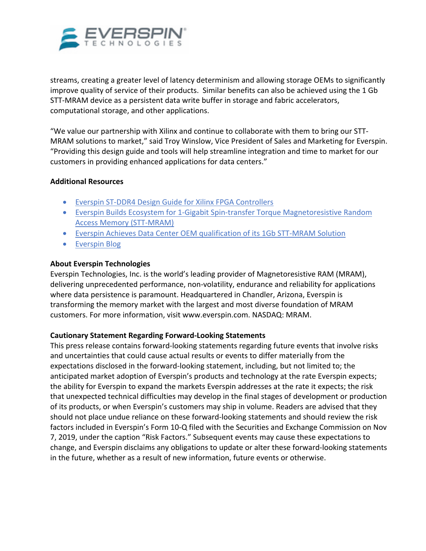

streams, creating a greater level of latency determinism and allowing storage OEMs to significantly improve quality of service of their products. Similar benefits can also be achieved using the 1 Gb STT-MRAM device as a persistent data write buffer in storage and fabric accelerators, computational storage, and other applications.

"We value our partnership with Xilinx and continue to collaborate with them to bring our STT-MRAM solutions to market," said Troy Winslow, Vice President of Sales and Marketing for Everspin. "Providing this design guide and tools will help streamline integration and time to market for our customers in providing enhanced applications for data centers."

## **Additional Resources**

- Everspin ST-DDR4 Design Guide for Xilinx FPGA Controllers
- Everspin Builds Ecosystem for 1-Gigabit Spin-transfer Torque Magnetoresistive Random Access Memory (STT-MRAM)
- Everspin Achieves Data Center OEM qualification of its 1Gb STT-MRAM Solution
- Everspin Blog

## **About Everspin Technologies**

Everspin Technologies, Inc. is the world's leading provider of Magnetoresistive RAM (MRAM), delivering unprecedented performance, non-volatility, endurance and reliability for applications where data persistence is paramount. Headquartered in Chandler, Arizona, Everspin is transforming the memory market with the largest and most diverse foundation of MRAM customers. For more information, visit www.everspin.com. NASDAQ: MRAM.

## **Cautionary Statement Regarding Forward-Looking Statements**

This press release contains forward-looking statements regarding future events that involve risks and uncertainties that could cause actual results or events to differ materially from the expectations disclosed in the forward-looking statement, including, but not limited to; the anticipated market adoption of Everspin's products and technology at the rate Everspin expects; the ability for Everspin to expand the markets Everspin addresses at the rate it expects; the risk that unexpected technical difficulties may develop in the final stages of development or production of its products, or when Everspin's customers may ship in volume. Readers are advised that they should not place undue reliance on these forward-looking statements and should review the risk factors included in Everspin's Form 10-Q filed with the Securities and Exchange Commission on Nov 7, 2019, under the caption "Risk Factors." Subsequent events may cause these expectations to change, and Everspin disclaims any obligations to update or alter these forward-looking statements in the future, whether as a result of new information, future events or otherwise.